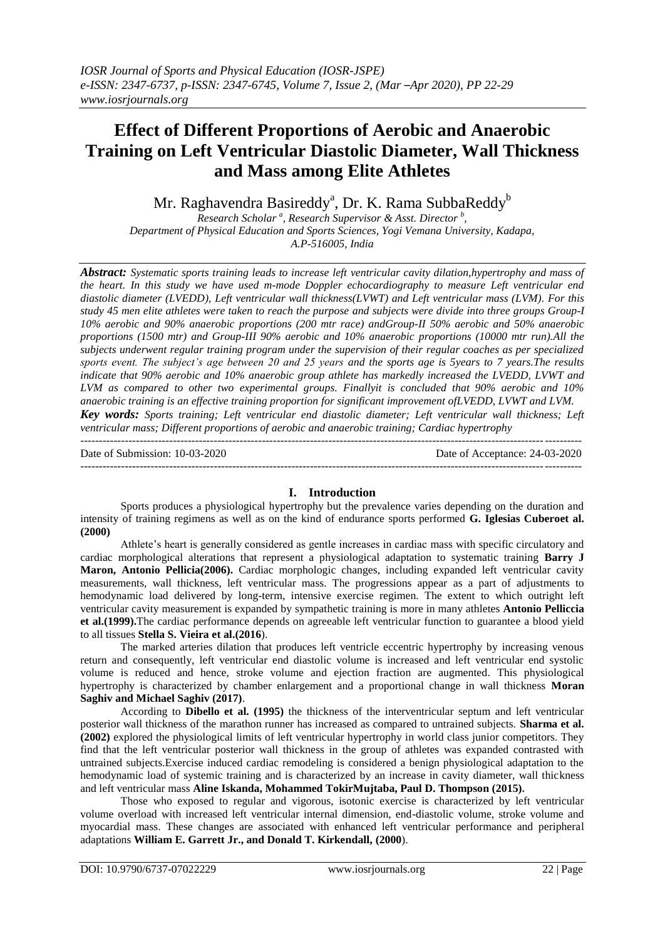# **Effect of Different Proportions of Aerobic and Anaerobic Training on Left Ventricular Diastolic Diameter, Wall Thickness and Mass among Elite Athletes**

Mr. Raghavendra Basireddy $\rm^a$ , Dr. K. Rama SubbaReddy $\rm^b$ 

*Research Scholar <sup>a</sup> , Research Supervisor & Asst. Director <sup>b</sup> , Department of Physical Education and Sports Sciences, Yogi Vemana University, Kadapa, A.P-516005, India*

*Abstract: Systematic sports training leads to increase left ventricular cavity dilation,hypertrophy and mass of the heart. In this study we have used m-mode Doppler echocardiography to measure Left ventricular end diastolic diameter (LVEDD), Left ventricular wall thickness(LVWT) and Left ventricular mass (LVM). For this study 45 men elite athletes were taken to reach the purpose and subjects were divide into three groups Group-I 10% aerobic and 90% anaerobic proportions (200 mtr race) andGroup-II 50% aerobic and 50% anaerobic proportions (1500 mtr) and Group-III 90% aerobic and 10% anaerobic proportions (10000 mtr run).All the subjects underwent regular training program under the supervision of their regular coaches as per specialized sports event. The subject's age between 20 and 25 years and the sports age is 5years to 7 years.The results indicate that 90% aerobic and 10% anaerobic group athlete has markedly increased the LVEDD, LVWT and LVM as compared to other two experimental groups. Finallyit is concluded that 90% aerobic and 10% anaerobic training is an effective training proportion for significant improvement ofLVEDD, LVWT and LVM.*

*Key words: Sports training; Left ventricular end diastolic diameter; Left ventricular wall thickness; Left ventricular mass; Different proportions of aerobic and anaerobic training; Cardiac hypertrophy*

 $-1\leq i\leq n-1$ 

Date of Submission: 10-03-2020 Date of Acceptance: 24-03-2020

#### ---------------------------------------------------------------------------------------------------------------------------------------

## **I. Introduction**

Sports produces a physiological hypertrophy but the prevalence varies depending on the duration and intensity of training regimens as well as on the kind of endurance sports performed **G. Iglesias Cuberoet al. (2000)** 

Athlete's heart is generally considered as gentle increases in cardiac mass with specific circulatory and cardiac morphological alterations that represent a physiological adaptation to systematic training **Barry J Maron, Antonio Pellicia(2006).** Cardiac morphologic changes, including expanded left ventricular cavity measurements, wall thickness, left ventricular mass. The progressions appear as a part of adjustments to hemodynamic load delivered by long-term, intensive exercise regimen. The extent to which outright left ventricular cavity measurement is expanded by sympathetic training is more in many athletes **Antonio Pelliccia et al.(1999).**The cardiac performance depends on agreeable left ventricular function to guarantee a blood yield to all tissues **Stella S. Vieira et al.(2016**).

The marked arteries dilation that produces left ventricle eccentric hypertrophy by increasing venous return and consequently, left ventricular end diastolic volume is increased and left ventricular end systolic volume is reduced and hence, stroke volume and ejection fraction are augmented. This physiological hypertrophy is characterized by chamber enlargement and a proportional change in wall thickness **Moran Saghiv and Michael Saghiv (2017)**.

According to **Dibello et al. (1995)** the thickness of the interventricular septum and left ventricular posterior wall thickness of the marathon runner has increased as compared to untrained subjects. **Sharma et al. (2002)** explored the physiological limits of left ventricular hypertrophy in world class junior competitors. They find that the left ventricular posterior wall thickness in the group of athletes was expanded contrasted with untrained subjects.Exercise induced cardiac remodeling is considered a benign physiological adaptation to the hemodynamic load of systemic training and is characterized by an increase in cavity diameter, wall thickness and left ventricular mass **Aline Iskanda, Mohammed TokirMujtaba, Paul D. Thompson (2015).**

Those who exposed to regular and vigorous, isotonic exercise is characterized by left ventricular volume overload with increased left ventricular internal dimension, end-diastolic volume, stroke volume and myocardial mass. These changes are associated with enhanced left ventricular performance and peripheral adaptations **William E. Garrett Jr., and Donald T. Kirkendall, (2000**).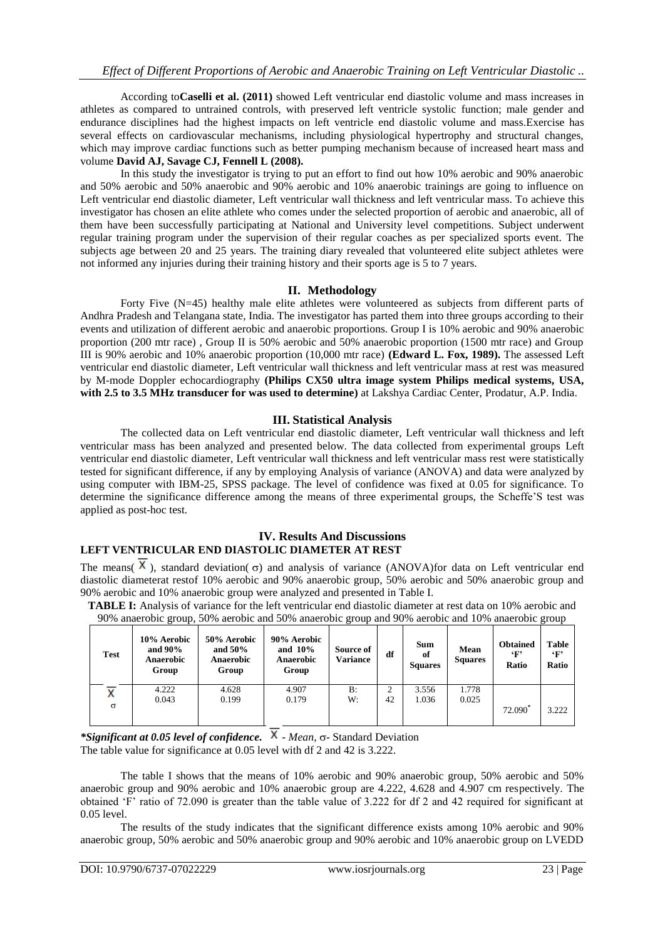According to**Caselli et al. (2011)** showed Left ventricular end diastolic volume and mass increases in athletes as compared to untrained controls, with preserved left ventricle systolic function; male gender and endurance disciplines had the highest impacts on left ventricle end diastolic volume and mass.Exercise has several effects on cardiovascular mechanisms, including physiological hypertrophy and structural changes, which may improve cardiac functions such as better pumping mechanism because of increased heart mass and volume **David AJ, Savage CJ, Fennell L (2008).**

In this study the investigator is trying to put an effort to find out how 10% aerobic and 90% anaerobic and 50% aerobic and 50% anaerobic and 90% aerobic and 10% anaerobic trainings are going to influence on Left ventricular end diastolic diameter, Left ventricular wall thickness and left ventricular mass. To achieve this investigator has chosen an elite athlete who comes under the selected proportion of aerobic and anaerobic, all of them have been successfully participating at National and University level competitions. Subject underwent regular training program under the supervision of their regular coaches as per specialized sports event. The subjects age between 20 and 25 years. The training diary revealed that volunteered elite subject athletes were not informed any injuries during their training history and their sports age is 5 to 7 years.

# **II. Methodology**

Forty Five (N=45) healthy male elite athletes were volunteered as subjects from different parts of Andhra Pradesh and Telangana state, India. The investigator has parted them into three groups according to their events and utilization of different aerobic and anaerobic proportions. Group I is 10% aerobic and 90% anaerobic proportion (200 mtr race) , Group II is 50% aerobic and 50% anaerobic proportion (1500 mtr race) and Group III is 90% aerobic and 10% anaerobic proportion (10,000 mtr race) **(Edward L. Fox, 1989).** The assessed Left ventricular end diastolic diameter, Left ventricular wall thickness and left ventricular mass at rest was measured by M-mode Doppler echocardiography **(Philips CX50 ultra image system Philips medical systems, USA, with 2.5 to 3.5 MHz transducer for was used to determine)** at Lakshya Cardiac Center, Prodatur, A.P. India.

# **III. Statistical Analysis**

The collected data on Left ventricular end diastolic diameter, Left ventricular wall thickness and left ventricular mass has been analyzed and presented below. The data collected from experimental groups Left ventricular end diastolic diameter, Left ventricular wall thickness and left ventricular mass rest were statistically tested for significant difference, if any by employing Analysis of variance (ANOVA) and data were analyzed by using computer with IBM-25, SPSS package. The level of confidence was fixed at 0.05 for significance. To determine the significance difference among the means of three experimental groups, the Scheffe'S test was applied as post-hoc test.

### **IV. Results And Discussions LEFT VENTRICULAR END DIASTOLIC DIAMETER AT REST**

The means( $\overline{X}$ ), standard deviation( $\sigma$ ) and analysis of variance (ANOVA)for data on Left ventricular end diastolic diameterat restof 10% aerobic and 90% anaerobic group, 50% aerobic and 50% anaerobic group and 90% aerobic and 10% anaerobic group were analyzed and presented in Table I.

**TABLE I:** Analysis of variance for the left ventricular end diastolic diameter at rest data on 10% aerobic and 90% anaerobic group, 50% aerobic and 50% anaerobic group and 90% aerobic and 10% anaerobic group

| Test     | 10% Aerobic<br>and $90\%$<br>Anaerobic<br>Group | 50% Aerobic<br>and $50\%$<br><b>Anaerobic</b><br>Group | 90% Aerobic<br>and $10\%$<br><b>Anaerobic</b><br>Group | Source of<br>Variance | df      | <b>Sum</b><br>of<br><b>Squares</b> | Mean<br><b>Squares</b> | <b>Obtained</b><br>$\cdot_F$<br>Ratio | <b>Table</b><br>$\cdot_F$<br>Ratio |
|----------|-------------------------------------------------|--------------------------------------------------------|--------------------------------------------------------|-----------------------|---------|------------------------------------|------------------------|---------------------------------------|------------------------------------|
| $\sigma$ | 4.222<br>0.043                                  | 4.628<br>0.199                                         | 4.907<br>0.179                                         | B:<br>W:              | 2<br>42 | 3.556<br>1.036                     | 1.778<br>0.025         | 72.090 <sup>*</sup>                   | 3.222                              |

*\*Significant at 0.05 level of confidence.* **X** - *Mean,* σ- Standard Deviation

The table value for significance at 0.05 level with df 2 and 42 is 3.222.

The table I shows that the means of 10% aerobic and 90% anaerobic group, 50% aerobic and 50% anaerobic group and 90% aerobic and 10% anaerobic group are 4.222, 4.628 and 4.907 cm respectively. The obtained 'F' ratio of 72.090 is greater than the table value of 3.222 for df 2 and 42 required for significant at 0.05 level.

The results of the study indicates that the significant difference exists among 10% aerobic and 90% anaerobic group, 50% aerobic and 50% anaerobic group and 90% aerobic and 10% anaerobic group on LVEDD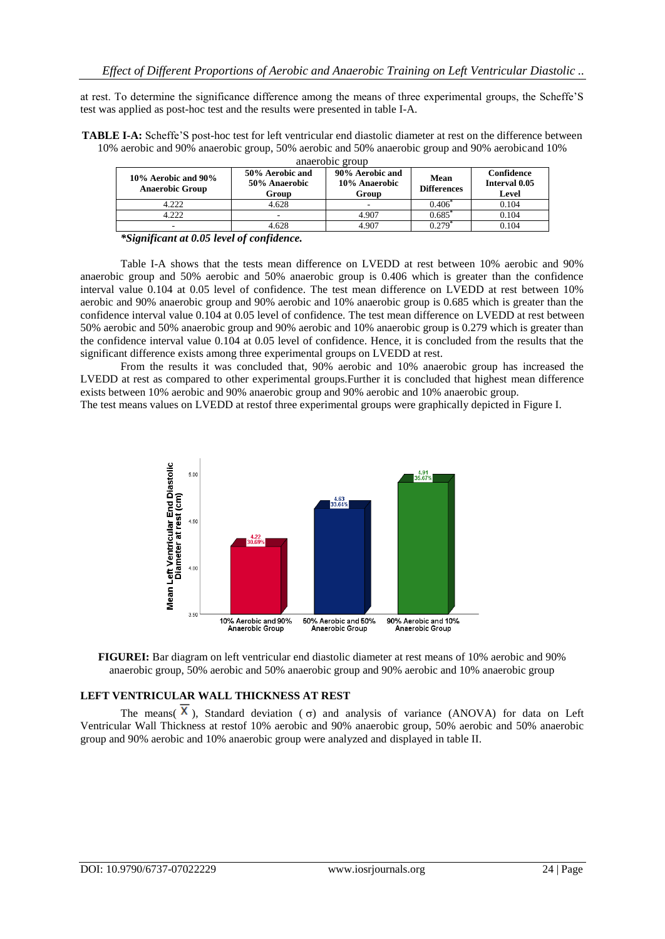at rest. To determine the significance difference among the means of three experimental groups, the Scheffe'S test was applied as post-hoc test and the results were presented in table I-A.

**TABLE I-A:** Scheffe'S post-hoc test for left ventricular end diastolic diameter at rest on the difference between 10% aerobic and 90% anaerobic group, 50% aerobic and 50% anaerobic group and 90% aerobicand 10%

| 10% Aerobic and 90%<br><b>Anaerobic Group</b> | 50% Aerobic and<br>50% Anaerobic<br>Group | 90% Aerobic and<br>10% Anaerobic<br>Group | Mean<br><b>Differences</b> | Confidence<br>Interval 0.05<br>Level |  |
|-----------------------------------------------|-------------------------------------------|-------------------------------------------|----------------------------|--------------------------------------|--|
| 4.222                                         | 4.628                                     |                                           | $0.406^*$                  | 0.104                                |  |
| 4.222                                         | $\overline{\phantom{a}}$                  | 4.907                                     | $0.685^{*}$                | 0.104                                |  |
| -                                             | 4.628                                     | 4.907                                     | ) 279'                     | 0.104                                |  |
| $$ $-$<br>$\cdot$<br>$\cdots$ $\cdots$        | $\mathbf{a}$<br>$\mathbf{r}$ $\mathbf{r}$ |                                           |                            |                                      |  |

anaerobic group

*\*Significant at 0.05 level of confidence.*

Table I-A shows that the tests mean difference on LVEDD at rest between 10% aerobic and 90% anaerobic group and 50% aerobic and 50% anaerobic group is 0.406 which is greater than the confidence interval value 0.104 at 0.05 level of confidence. The test mean difference on LVEDD at rest between 10% aerobic and 90% anaerobic group and 90% aerobic and 10% anaerobic group is 0.685 which is greater than the confidence interval value 0.104 at 0.05 level of confidence. The test mean difference on LVEDD at rest between 50% aerobic and 50% anaerobic group and 90% aerobic and 10% anaerobic group is 0.279 which is greater than the confidence interval value 0.104 at 0.05 level of confidence. Hence, it is concluded from the results that the significant difference exists among three experimental groups on LVEDD at rest.

From the results it was concluded that, 90% aerobic and 10% anaerobic group has increased the LVEDD at rest as compared to other experimental groups.Further it is concluded that highest mean difference exists between 10% aerobic and 90% anaerobic group and 90% aerobic and 10% anaerobic group.

The test means values on LVEDD at restof three experimental groups were graphically depicted in Figure I.





# **LEFT VENTRICULAR WALL THICKNESS AT REST**

The means  $(\overline{X})$ , Standard deviation ( $\sigma$ ) and analysis of variance (ANOVA) for data on Left Ventricular Wall Thickness at restof 10% aerobic and 90% anaerobic group, 50% aerobic and 50% anaerobic group and 90% aerobic and 10% anaerobic group were analyzed and displayed in table II.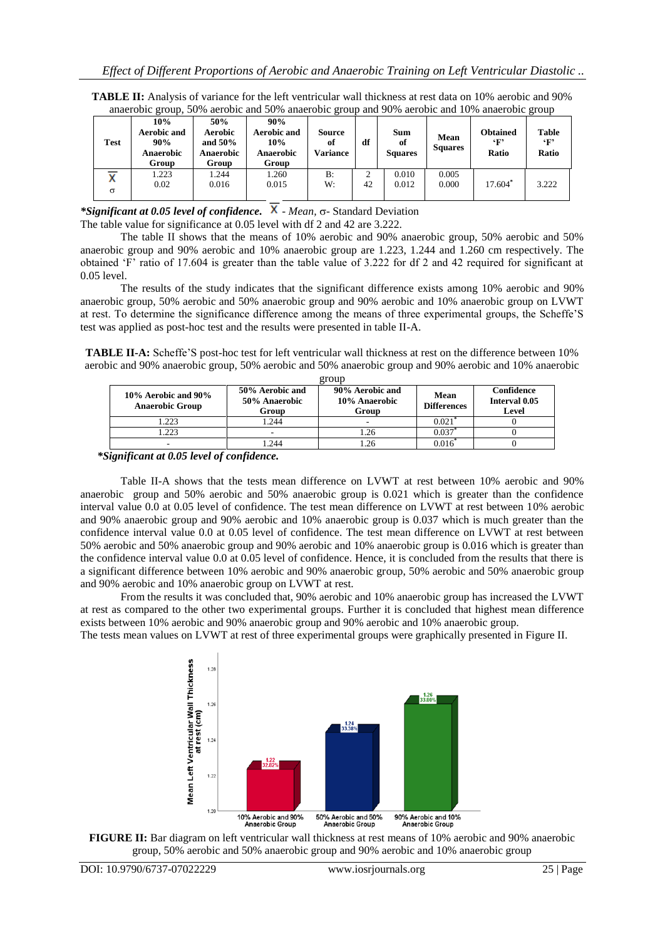| Test     | 10%<br><b>Aerobic and</b><br>90%<br>Anaerobic<br>Group | 50%<br>Aerobic<br>and $50\%$<br>Anaerobic<br>Group | 90%<br>Aerobic and<br>10%<br><b>Anaerobic</b><br>Group | Source<br>of<br>Variance | df | <b>Sum</b><br>of<br><b>Squares</b> | Mean<br><b>Squares</b> | <b>Obtained</b><br>6 F 2<br>Ratio | <b>Table</b><br>$\cdot_F$<br>Ratio |
|----------|--------------------------------------------------------|----------------------------------------------------|--------------------------------------------------------|--------------------------|----|------------------------------------|------------------------|-----------------------------------|------------------------------------|
| $\sigma$ | 1.223<br>0.02                                          | 1.244<br>0.016                                     | 1.260<br>0.015                                         | B:<br>W:                 | 42 | 0.010<br>0.012                     | 0.005<br>0.000         | $17.604*$                         | 3.222                              |

**TABLE II:** Analysis of variance for the left ventricular wall thickness at rest data on 10% aerobic and 90% anaerobic group, 50% aerobic and 50% anaerobic group and 90% aerobic and 10% anaerobic group

*\*Significant at 0.05 level of confidence.*  $\bar{X}$  *- Mean,*  $\sigma$ *-Standard Deviation* 

The table value for significance at 0.05 level with df 2 and 42 are 3.222.

The table II shows that the means of 10% aerobic and 90% anaerobic group, 50% aerobic and 50% anaerobic group and 90% aerobic and 10% anaerobic group are 1.223, 1.244 and 1.260 cm respectively. The obtained 'F' ratio of 17.604 is greater than the table value of 3.222 for df 2 and 42 required for significant at 0.05 level.

The results of the study indicates that the significant difference exists among 10% aerobic and 90% anaerobic group, 50% aerobic and 50% anaerobic group and 90% aerobic and 10% anaerobic group on LVWT at rest. To determine the significance difference among the means of three experimental groups, the Scheffe'S test was applied as post-hoc test and the results were presented in table II-A.

**TABLE II-A:** Scheffe'S post-hoc test for left ventricular wall thickness at rest on the difference between 10% aerobic and 90% anaerobic group, 50% aerobic and 50% anaerobic group and 90% aerobic and 10% anaerobic

| group                                         |                                           |                                           |                            |                                      |  |  |  |  |
|-----------------------------------------------|-------------------------------------------|-------------------------------------------|----------------------------|--------------------------------------|--|--|--|--|
| 10% Aerobic and 90%<br><b>Anaerobic Group</b> | 50% Aerobic and<br>50% Anaerobic<br>Group | 90% Aerobic and<br>10% Anaerobic<br>Group | Mean<br><b>Differences</b> | Confidence<br>Interval 0.05<br>Level |  |  |  |  |
| 1.223                                         | .244                                      | $\overline{\phantom{a}}$                  | 0.021                      |                                      |  |  |  |  |
| 1.223                                         |                                           | 1.26                                      | 0.037                      |                                      |  |  |  |  |
|                                               | .244                                      | .26                                       | 2016                       |                                      |  |  |  |  |

 *\*Significant at 0.05 level of confidence.*

Table II-A shows that the tests mean difference on LVWT at rest between 10% aerobic and 90% anaerobic group and 50% aerobic and 50% anaerobic group is 0.021 which is greater than the confidence interval value 0.0 at 0.05 level of confidence. The test mean difference on LVWT at rest between 10% aerobic and 90% anaerobic group and 90% aerobic and 10% anaerobic group is 0.037 which is much greater than the confidence interval value 0.0 at 0.05 level of confidence. The test mean difference on LVWT at rest between 50% aerobic and 50% anaerobic group and 90% aerobic and 10% anaerobic group is 0.016 which is greater than the confidence interval value 0.0 at 0.05 level of confidence. Hence, it is concluded from the results that there is a significant difference between 10% aerobic and 90% anaerobic group, 50% aerobic and 50% anaerobic group and 90% aerobic and 10% anaerobic group on LVWT at rest.

From the results it was concluded that, 90% aerobic and 10% anaerobic group has increased the LVWT at rest as compared to the other two experimental groups. Further it is concluded that highest mean difference exists between 10% aerobic and 90% anaerobic group and 90% aerobic and 10% anaerobic group. The tests mean values on LVWT at rest of three experimental groups were graphically presented in Figure II.



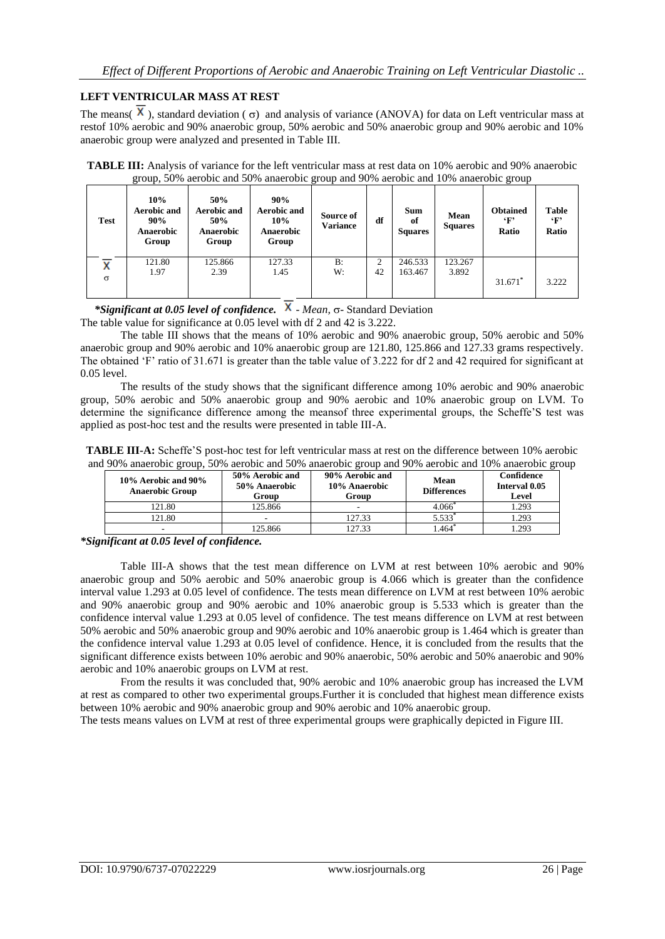# **LEFT VENTRICULAR MASS AT REST**

The means(  $\overline{X}$ ), standard deviation ( $\sigma$ ) and analysis of variance (ANOVA) for data on Left ventricular mass at restof 10% aerobic and 90% anaerobic group, 50% aerobic and 50% anaerobic group and 90% aerobic and 10% anaerobic group were analyzed and presented in Table III.

| <b>Test</b> | 10%<br><b>Aerobic and</b><br>90%<br><b>Anaerobic</b><br>Group | 50%<br><b>Aerobic and</b><br>50%<br>Anaerobic<br>Group | 90%<br><b>Aerobic and</b><br>10%<br>Anaerobic<br>Group | Source of<br><b>Variance</b> | df | <b>Sum</b><br>of<br><b>Squares</b> | Mean<br><b>Squares</b> | <b>Obtained</b><br>$\cdot_F$<br>Ratio | Table<br>$\cdot_F$<br>Ratio |
|-------------|---------------------------------------------------------------|--------------------------------------------------------|--------------------------------------------------------|------------------------------|----|------------------------------------|------------------------|---------------------------------------|-----------------------------|
| x           | 121.80<br>1.97                                                | 125.866<br>2.39                                        | 127.33<br>1.45                                         | B:<br>W:                     | 42 | 246.533<br>163.467                 | 123.267<br>3.892       |                                       |                             |
| $\sigma$    |                                                               |                                                        |                                                        |                              |    |                                    |                        | 31.671 <sup>*</sup>                   | 3.222                       |

**TABLE III:** Analysis of variance for the left ventricular mass at rest data on 10% aerobic and 90% anaerobic group, 50% aerobic and 50% anaerobic group and 90% aerobic and 10% anaerobic group

\*Significant at 0.05 level of confidence.  $\overline{X}$  - *Mean,*  $\sigma$ - Standard Deviation

The table value for significance at 0.05 level with df 2 and 42 is 3.222.

The table III shows that the means of 10% aerobic and 90% anaerobic group, 50% aerobic and 50% anaerobic group and 90% aerobic and 10% anaerobic group are 121.80, 125.866 and 127.33 grams respectively. The obtained 'F' ratio of 31.671 is greater than the table value of 3.222 for df 2 and 42 required for significant at 0.05 level.

The results of the study shows that the significant difference among 10% aerobic and 90% anaerobic group, 50% aerobic and 50% anaerobic group and 90% aerobic and 10% anaerobic group on LVM. To determine the significance difference among the meansof three experimental groups, the Scheffe'S test was applied as post-hoc test and the results were presented in table III-A.

**TABLE III-A:** Scheffe'S post-hoc test for left ventricular mass at rest on the difference between 10% aerobic and 90% anaerobic group, 50% aerobic and 50% anaerobic group and 90% aerobic and 10% anaerobic group

| 10% Aerobic and 90%<br><b>Anaerobic Group</b> | 50% Aerobic and<br>50% Anaerobic<br>Group | 90% Aerobic and<br>10% Anaerobic<br>Group | <b>Mean</b><br><b>Differences</b> | Confidence<br>Interval 0.05<br>Level |  |
|-----------------------------------------------|-------------------------------------------|-------------------------------------------|-----------------------------------|--------------------------------------|--|
| !21.80                                        | 125.866                                   |                                           | 4.066                             | 1.293                                |  |
| 121.80                                        |                                           | 127.33                                    | 5.533                             | 1.293                                |  |
|                                               | 125.866                                   | 127.33                                    | .464                              | .293                                 |  |

*\*Significant at 0.05 level of confidence.*

Table III-A shows that the test mean difference on LVM at rest between 10% aerobic and 90% anaerobic group and 50% aerobic and 50% anaerobic group is 4.066 which is greater than the confidence interval value 1.293 at 0.05 level of confidence. The tests mean difference on LVM at rest between 10% aerobic and 90% anaerobic group and 90% aerobic and 10% anaerobic group is 5.533 which is greater than the confidence interval value 1.293 at 0.05 level of confidence. The test means difference on LVM at rest between 50% aerobic and 50% anaerobic group and 90% aerobic and 10% anaerobic group is 1.464 which is greater than the confidence interval value 1.293 at 0.05 level of confidence. Hence, it is concluded from the results that the significant difference exists between 10% aerobic and 90% anaerobic, 50% aerobic and 50% anaerobic and 90% aerobic and 10% anaerobic groups on LVM at rest.

From the results it was concluded that, 90% aerobic and 10% anaerobic group has increased the LVM at rest as compared to other two experimental groups.Further it is concluded that highest mean difference exists between 10% aerobic and 90% anaerobic group and 90% aerobic and 10% anaerobic group.

The tests means values on LVM at rest of three experimental groups were graphically depicted in Figure III.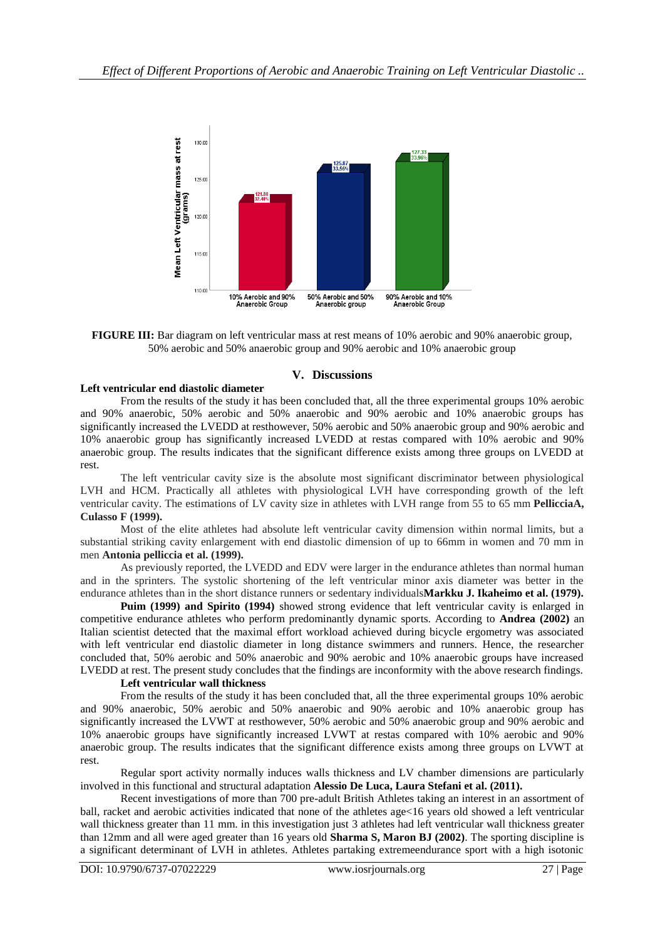

**FIGURE III:** Bar diagram on left ventricular mass at rest means of 10% aerobic and 90% anaerobic group, 50% aerobic and 50% anaerobic group and 90% aerobic and 10% anaerobic group

## **V. Discussions**

# **Left ventricular end diastolic diameter**

From the results of the study it has been concluded that, all the three experimental groups 10% aerobic and 90% anaerobic, 50% aerobic and 50% anaerobic and 90% aerobic and 10% anaerobic groups has significantly increased the LVEDD at resthowever, 50% aerobic and 50% anaerobic group and 90% aerobic and 10% anaerobic group has significantly increased LVEDD at restas compared with 10% aerobic and 90% anaerobic group. The results indicates that the significant difference exists among three groups on LVEDD at rest.

The left ventricular cavity size is the absolute most significant discriminator between physiological LVH and HCM. Practically all athletes with physiological LVH have corresponding growth of the left ventricular cavity. The estimations of LV cavity size in athletes with LVH range from 55 to 65 mm **PellicciaA, Culasso F (1999).**

Most of the elite athletes had absolute left ventricular cavity dimension within normal limits, but a substantial striking cavity enlargement with end diastolic dimension of up to 66mm in women and 70 mm in men **Antonia pelliccia et al. (1999).**

As previously reported, the LVEDD and EDV were larger in the endurance athletes than normal human and in the sprinters. The systolic shortening of the left ventricular minor axis diameter was better in the endurance athletes than in the short distance runners or sedentary individuals**Markku J. Ikaheimo et al. (1979).**

**Puim (1999) and Spirito (1994)** showed strong evidence that left ventricular cavity is enlarged in competitive endurance athletes who perform predominantly dynamic sports. According to **Andrea (2002)** an Italian scientist detected that the maximal effort workload achieved during bicycle ergometry was associated with left ventricular end diastolic diameter in long distance swimmers and runners. Hence, the researcher concluded that, 50% aerobic and 50% anaerobic and 90% aerobic and 10% anaerobic groups have increased LVEDD at rest. The present study concludes that the findings are inconformity with the above research findings.

## **Left ventricular wall thickness**

From the results of the study it has been concluded that, all the three experimental groups 10% aerobic and 90% anaerobic, 50% aerobic and 50% anaerobic and 90% aerobic and 10% anaerobic group has significantly increased the LVWT at resthowever, 50% aerobic and 50% anaerobic group and 90% aerobic and 10% anaerobic groups have significantly increased LVWT at restas compared with 10% aerobic and 90% anaerobic group. The results indicates that the significant difference exists among three groups on LVWT at rest.

Regular sport activity normally induces walls thickness and LV chamber dimensions are particularly involved in this functional and structural adaptation **Alessio De Luca, Laura Stefani et al. (2011).**

Recent investigations of more than 700 pre-adult British Athletes taking an interest in an assortment of ball, racket and aerobic activities indicated that none of the athletes age<16 years old showed a left ventricular wall thickness greater than 11 mm. in this investigation just 3 athletes had left ventricular wall thickness greater than 12mm and all were aged greater than 16 years old **Sharma S, Maron BJ (2002)**. The sporting discipline is a significant determinant of LVH in athletes. Athletes partaking extremeendurance sport with a high isotonic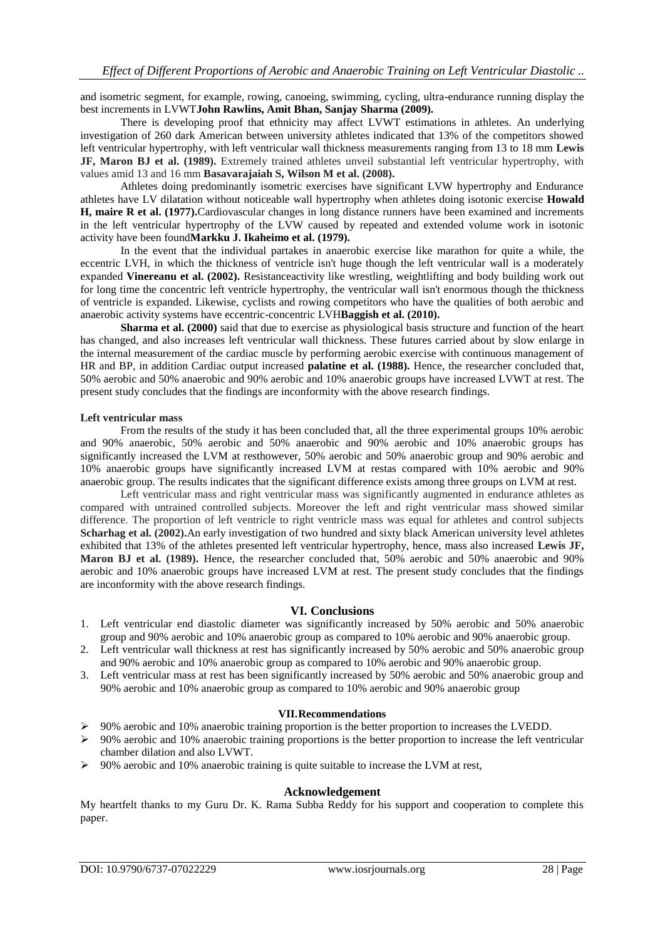and isometric segment, for example, rowing, canoeing, swimming, cycling, ultra-endurance running display the best increments in LVWT**John Rawlins, Amit Bhan, Sanjay Sharma (2009).**

There is developing proof that ethnicity may affect LVWT estimations in athletes. An underlying investigation of 260 dark American between university athletes indicated that 13% of the competitors showed left ventricular hypertrophy, with left ventricular wall thickness measurements ranging from 13 to 18 mm **Lewis JF, Maron BJ et al. (1989).** Extremely trained athletes unveil substantial left ventricular hypertrophy, with values amid 13 and 16 mm **Basavarajaiah S, Wilson M et al. (2008).**

Athletes doing predominantly isometric exercises have significant LVW hypertrophy and Endurance athletes have LV dilatation without noticeable wall hypertrophy when athletes doing isotonic exercise **Howald H, maire R et al. (1977).**Cardiovascular changes in long distance runners have been examined and increments in the left ventricular hypertrophy of the LVW caused by repeated and extended volume work in isotonic activity have been found**Markku J. Ikaheimo et al. (1979).**

In the event that the individual partakes in anaerobic exercise like marathon for quite a while, the eccentric LVH, in which the thickness of ventricle isn't huge though the left ventricular wall is a moderately expanded **Vinereanu et al. (2002).** Resistanceactivity like wrestling, weightlifting and body building work out for long time the concentric left ventricle hypertrophy, the ventricular wall isn't enormous though the thickness of ventricle is expanded. Likewise, cyclists and rowing competitors who have the qualities of both aerobic and anaerobic activity systems have eccentric-concentric LVH**Baggish et al. (2010).**

**Sharma et al. (2000)** said that due to exercise as physiological basis structure and function of the heart has changed, and also increases left ventricular wall thickness. These futures carried about by slow enlarge in the internal measurement of the cardiac muscle by performing aerobic exercise with continuous management of HR and BP, in addition Cardiac output increased **palatine et al. (1988).** Hence, the researcher concluded that, 50% aerobic and 50% anaerobic and 90% aerobic and 10% anaerobic groups have increased LVWT at rest. The present study concludes that the findings are inconformity with the above research findings.

#### **Left ventricular mass**

From the results of the study it has been concluded that, all the three experimental groups 10% aerobic and 90% anaerobic, 50% aerobic and 50% anaerobic and 90% aerobic and 10% anaerobic groups has significantly increased the LVM at resthowever, 50% aerobic and 50% anaerobic group and 90% aerobic and 10% anaerobic groups have significantly increased LVM at restas compared with 10% aerobic and 90% anaerobic group. The results indicates that the significant difference exists among three groups on LVM at rest.

Left ventricular mass and right ventricular mass was significantly augmented in endurance athletes as compared with untrained controlled subjects. Moreover the left and right ventricular mass showed similar difference. The proportion of left ventricle to right ventricle mass was equal for athletes and control subjects **Scharhag et al. (2002).**An early investigation of two hundred and sixty black American university level athletes exhibited that 13% of the athletes presented left ventricular hypertrophy, hence, mass also increased **Lewis JF, Maron BJ et al. (1989).** Hence, the researcher concluded that, 50% aerobic and 50% anaerobic and 90% aerobic and 10% anaerobic groups have increased LVM at rest. The present study concludes that the findings are inconformity with the above research findings.

#### **VI. Conclusions**

- 1. Left ventricular end diastolic diameter was significantly increased by 50% aerobic and 50% anaerobic group and 90% aerobic and 10% anaerobic group as compared to 10% aerobic and 90% anaerobic group.
- 2. Left ventricular wall thickness at rest has significantly increased by 50% aerobic and 50% anaerobic group and 90% aerobic and 10% anaerobic group as compared to 10% aerobic and 90% anaerobic group.
- 3. Left ventricular mass at rest has been significantly increased by 50% aerobic and 50% anaerobic group and 90% aerobic and 10% anaerobic group as compared to 10% aerobic and 90% anaerobic group

#### **VII.Recommendations**

- 90% aerobic and 10% anaerobic training proportion is the better proportion to increases the LVEDD.
- $\geq 90\%$  aerobic and 10% anaerobic training proportions is the better proportion to increase the left ventricular chamber dilation and also LVWT.
- 90% aerobic and 10% anaerobic training is quite suitable to increase the LVM at rest,

## **Acknowledgement**

My heartfelt thanks to my Guru Dr. K. Rama Subba Reddy for his support and cooperation to complete this paper.